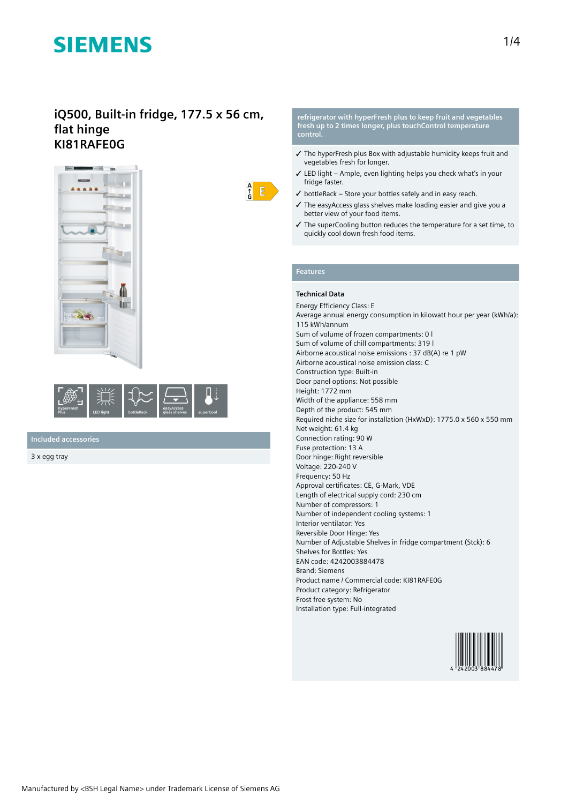### **iQ500, Built-in fridge, 177.5 x 56 cm, flat hinge KI81RAFE0G**





**Included accessories**

3 x egg tray

#### **refrigerator with hyperFresh plus to keep fruit and vegetables fresh up to 2 times longer, plus touchControl temperature control.**

- ✓ The hyperFresh plus Box with adjustable humidity keeps fruit and vegetables fresh for longer.
- ✓ LED light Ample, even lighting helps you check what's in your fridge faster.
- $\checkmark$  bottleRack Store your bottles safely and in easy reach.
- ✓ The easyAccess glass shelves make loading easier and give you a better view of your food items.
- ✓ The superCooling button reduces the temperature for a set time, to quickly cool down fresh food items.

### **Features**

 $\frac{A}{f}$  $E$ 

### **Technical Data**

Energy Efficiency Class: E Average annual energy consumption in kilowatt hour per year (kWh/a): 115 kWh/annum Sum of volume of frozen compartments: 0 l Sum of volume of chill compartments: 319 l Airborne acoustical noise emissions : 37 dB(A) re 1 pW Airborne acoustical noise emission class: C Construction type: Built-in Door panel options: Not possible Height: 1772 mm Width of the appliance: 558 mm Depth of the product: 545 mm Required niche size for installation (HxWxD): 1775.0 x 560 x 550 mm Net weight: 61.4 kg Connection rating: 90 W Fuse protection: 13 A Door hinge: Right reversible Voltage: 220-240 V Frequency: 50 Hz Approval certificates: CE, G-Mark, VDE Length of electrical supply cord: 230 cm Number of compressors: 1 Number of independent cooling systems: 1 Interior ventilator: Yes Reversible Door Hinge: Yes Number of Adjustable Shelves in fridge compartment (Stck): 6 Shelves for Bottles: Yes EAN code: 4242003884478 Brand: Siemens Product name / Commercial code: KI81RAFE0G Product category: Refrigerator Frost free system: No Installation type: Full-integrated

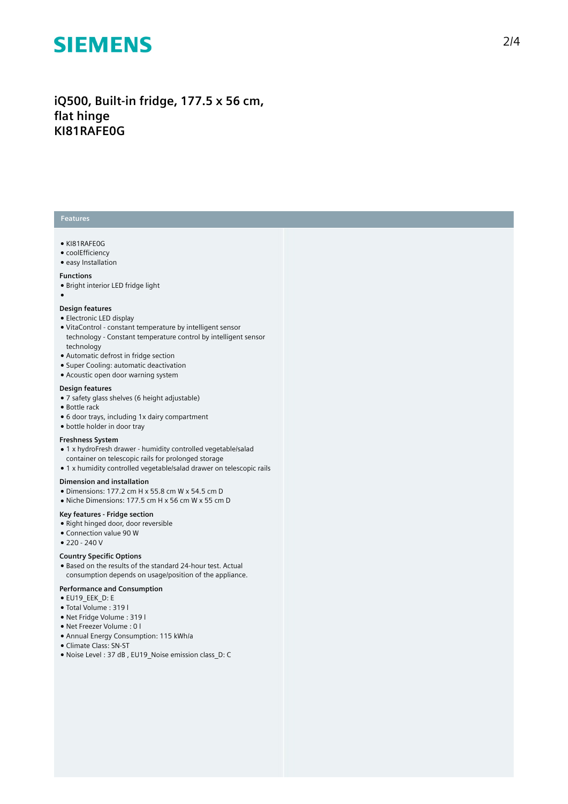iQ500, Built-in fridge, 177.5 x 56 cm, **fl a t h i n g e KI81RAFE0G**

### **Features**

- KI81RAFE0G
- coolEfficiency
- easy Installation

#### **Functions**

- Bright interior LED fridge light
- ●

#### Design features

- Electronic LED display
- VitaControl constant temperature by intelligent sensor technology - Constant temperature control by intelligent sensor t e c h n olo g y
- Automatic defrost in fridge section
- Super Cooling: automatic deactivation
- Acoustic open door warning system

#### Design features

- 7 safety glass shelves (6 height adjustable)
- Bottle rack
- 6 door trays, including 1x dairy compartment
- bottle holder in door tray

#### **Freshness System**

- 1 x hydroFresh drawer humidity controlled vegetable/salad container on telescopic rails for prolonged storage
- 1 x humidity controlled vegetable/salad drawer on telescopic rails

#### Dimension and installation

- Dimensions: 177.2 cm H x 55.8 cm W x 54.5 cm D
- Niche Dimensions: 177.5 cm H x 56 cm W x 55 cm D

#### **Key features - Fridge section**

- Right hinged door, door reversible
- Connection value 90 W
- $220 240V$

#### **Country Spec i fi c O p t i o n s**

• Based on the results of the standard 24-hour test. Actual consumption depends on usage/position of the applianc e .

#### Performance and Consumption

- EU19\_EEK\_D: E
- Total Volume : 3 1 9 l
- Net Fridge Volume : 3 1 9 l
- Net Freezer Volume : 0 l
- Annual Energy Consumption: 115 kWh/a
- Climate Class: SN-ST
- Noise Level : 37 dB , EU19\_Noise emission class\_D: C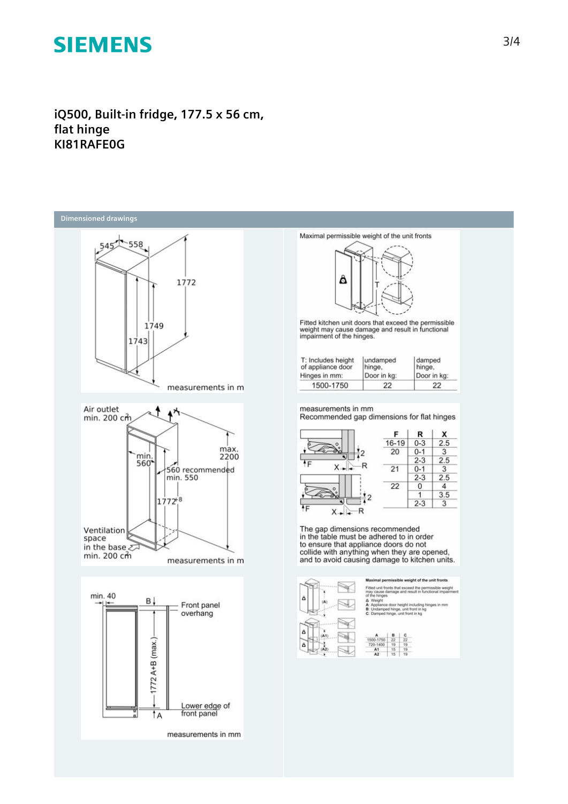iQ500, Built-in fridge, 177.5 x 56 cm, flat hinge KI81RAFE0G



measurements in mm



Fitted kitchen unit doors that exceed the permissible<br>weight may cause damage and result in functional<br>impairment of the hinges.

| T: Includes height | undamped    | damped      |
|--------------------|-------------|-------------|
| of appliance door  | hinge.      | hinge,      |
| Hinges in mm:      | Door in kg: | Door in kg: |
| 1500-1750          | 22          | 22          |

measurements in mm<br>Recommended gap dimensions for flat hinges



The gap dimensions recommended<br>in the table must be adhered to in order<br>to ensure that appliance doors do not<br>collide with anything when they are opened,<br>and to avoid causing damage to kitchen units.



nal permissible weight of the unit front nts that exceed the permissible weight may cau